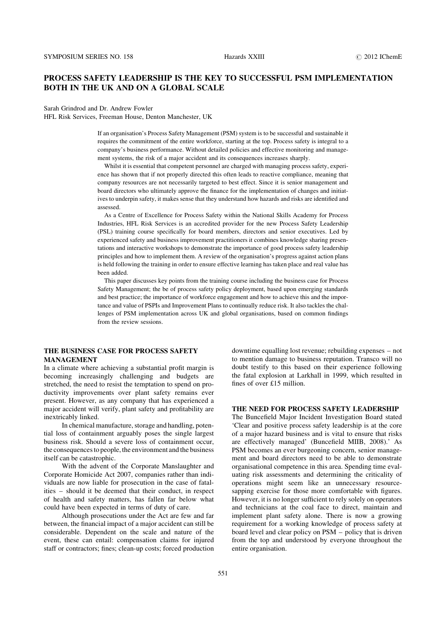# PROCESS SAFETY LEADERSHIP IS THE KEY TO SUCCESSFUL PSM IMPLEMENTATION BOTH IN THE UK AND ON A GLOBAL SCALE

Sarah Grindrod and Dr. Andrew Fowler

HFL Risk Services, Freeman House, Denton Manchester, UK

If an organisation's Process Safety Management (PSM) system is to be successful and sustainable it requires the commitment of the entire workforce, starting at the top. Process safety is integral to a company's business performance. Without detailed policies and effective monitoring and management systems, the risk of a major accident and its consequences increases sharply.

Whilst it is essential that competent personnel are charged with managing process safety, experience has shown that if not properly directed this often leads to reactive compliance, meaning that company resources are not necessarily targeted to best effect. Since it is senior management and board directors who ultimately approve the finance for the implementation of changes and initiatives to underpin safety, it makes sense that they understand how hazards and risks are identified and assessed.

As a Centre of Excellence for Process Safety within the National Skills Academy for Process Industries, HFL Risk Services is an accredited provider for the new Process Safety Leadership (PSL) training course specifically for board members, directors and senior executives. Led by experienced safety and business improvement practitioners it combines knowledge sharing presentations and interactive workshops to demonstrate the importance of good process safety leadership principles and how to implement them. A review of the organisation's progress against action plans is held following the training in order to ensure effective learning has taken place and real value has been added.

This paper discusses key points from the training course including the business case for Process Safety Management; the be of process safety policy deployment, based upon emerging standards and best practice; the importance of workforce engagement and how to achieve this and the importance and value of PSPIs and Improvement Plans to continually reduce risk. It also tackles the challenges of PSM implementation across UK and global organisations, based on common findings from the review sessions.

# THE BUSINESS CASE FOR PROCESS SAFETY MANAGEMENT

In a climate where achieving a substantial profit margin is becoming increasingly challenging and budgets are stretched, the need to resist the temptation to spend on productivity improvements over plant safety remains ever present. However, as any company that has experienced a major accident will verify, plant safety and profitability are inextricably linked.

In chemical manufacture, storage and handling, potential loss of containment arguably poses the single largest business risk. Should a severe loss of containment occur, the consequences to people, the environment and the business itself can be catastrophic.

With the advent of the Corporate Manslaughter and Corporate Homicide Act 2007, companies rather than individuals are now liable for prosecution in the case of fatalities – should it be deemed that their conduct, in respect of health and safety matters, has fallen far below what could have been expected in terms of duty of care.

Although prosecutions under the Act are few and far between, the financial impact of a major accident can still be considerable. Dependent on the scale and nature of the event, these can entail: compensation claims for injured staff or contractors; fines; clean-up costs; forced production downtime equalling lost revenue; rebuilding expenses – not to mention damage to business reputation. Transco will no doubt testify to this based on their experience following the fatal explosion at Larkhall in 1999, which resulted in fines of over £15 million.

## THE NEED FOR PROCESS SAFETY LEADERSHIP

The Buncefield Major Incident Investigation Board stated 'Clear and positive process safety leadership is at the core of a major hazard business and is vital to ensure that risks are effectively managed' (Buncefield MIIB, 2008).' As PSM becomes an ever burgeoning concern, senior management and board directors need to be able to demonstrate organisational competence in this area. Spending time evaluating risk assessments and determining the criticality of operations might seem like an unnecessary resourcesapping exercise for those more comfortable with figures. However, it is no longer sufficient to rely solely on operators and technicians at the coal face to direct, maintain and implement plant safety alone. There is now a growing requirement for a working knowledge of process safety at board level and clear policy on PSM – policy that is driven from the top and understood by everyone throughout the entire organisation.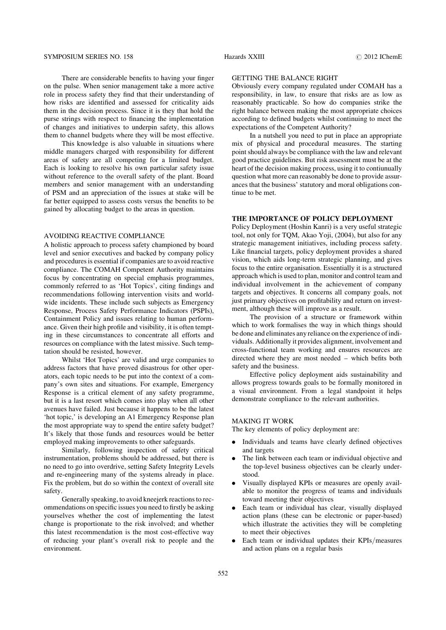### SYMPOSIUM SERIES NO. 158 **Hazards XXIII 2012 IChemE 2012 IChemE**

There are considerable benefits to having your finger on the pulse. When senior management take a more active role in process safety they find that their understanding of how risks are identified and assessed for criticality aids them in the decision process. Since it is they that hold the purse strings with respect to financing the implementation of changes and initiatives to underpin safety, this allows them to channel budgets where they will be most effective.

This knowledge is also valuable in situations where middle managers charged with responsibility for different areas of safety are all competing for a limited budget. Each is looking to resolve his own particular safety issue without reference to the overall safety of the plant. Board members and senior management with an understanding of PSM and an appreciation of the issues at stake will be far better equipped to assess costs versus the benefits to be gained by allocating budget to the areas in question.

#### AVOIDING REACTIVE COMPLIANCE

A holistic approach to process safety championed by board level and senior executives and backed by company policy and procedures is essential if companies are to avoid reactive compliance. The COMAH Competent Authority maintains focus by concentrating on special emphasis programmes, commonly referred to as 'Hot Topics', citing findings and recommendations following intervention visits and worldwide incidents. These include such subjects as Emergency Response, Process Safety Performance Indicators (PSPIs), Containment Policy and issues relating to human performance. Given their high profile and visibility, it is often tempting in these circumstances to concentrate all efforts and resources on compliance with the latest missive. Such temptation should be resisted, however.

Whilst 'Hot Topics' are valid and urge companies to address factors that have proved disastrous for other operators, each topic needs to be put into the context of a company's own sites and situations. For example, Emergency Response is a critical element of any safety programme, but it is a last resort which comes into play when all other avenues have failed. Just because it happens to be the latest 'hot topic,' is developing an A1 Emergency Response plan the most appropriate way to spend the entire safety budget? It's likely that those funds and resources would be better employed making improvements to other safeguards.

Similarly, following inspection of safety critical instrumentation, problems should be addressed, but there is no need to go into overdrive, setting Safety Integrity Levels and re-engineering many of the systems already in place. Fix the problem, but do so within the context of overall site safety.

Generally speaking, to avoid kneejerk reactions to recommendations on specific issues you need to firstly be asking yourselves whether the cost of implementing the latest change is proportionate to the risk involved; and whether this latest recommendation is the most cost-effective way of reducing your plant's overall risk to people and the environment.

# GETTING THE BALANCE RIGHT

Obviously every company regulated under COMAH has a responsibility, in law, to ensure that risks are as low as reasonably practicable. So how do companies strike the right balance between making the most appropriate choices according to defined budgets whilst continuing to meet the expectations of the Competent Authority?

In a nutshell you need to put in place an appropriate mix of physical and procedural measures. The starting point should always be compliance with the law and relevant good practice guidelines. But risk assessment must be at the heart of the decision making process, using it to contiunually question what more can reasonably be done to provide assurances that the business' statutory and moral obligations continue to be met.

#### THE IMPORTANCE OF POLICY DEPLOYMENT

Policy Deployment (Hoshin Kanri) is a very useful strategic tool, not only for TQM, Akao Yoji, (2004), but also for any strategic management initiatives, including process safety. Like financial targets, policy deployment provides a shared vision, which aids long-term strategic planning, and gives focus to the entire organisation. Essentially it is a structured approach which is used to plan, monitor and control team and individual involvement in the achievement of company targets and objectives. It concerns all company goals, not just primary objectives on profitability and return on investment, although these will improve as a result.

The provision of a structure or framework within which to work formalises the way in which things should be done and eliminates any reliance on the experience of individuals. Additionally it provides alignment, involvement and cross-functional team working and ensures resources are directed where they are most needed – which befits both safety and the business.

Effective policy deployment aids sustainability and allows progress towards goals to be formally monitored in a visual environment. From a legal standpoint it helps demonstrate compliance to the relevant authorities.

## MAKING IT WORK

The key elements of policy deployment are:

- . Individuals and teams have clearly defined objectives and targets
- . The link between each team or individual objective and the top-level business objectives can be clearly understood.
- . Visually displayed KPIs or measures are openly available to monitor the progress of teams and individuals toward meeting their objectives
- . Each team or individual has clear, visually displayed action plans (these can be electronic or paper-based) which illustrate the activities they will be completing to meet their objectives
- . Each team or individual updates their KPIs/measures and action plans on a regular basis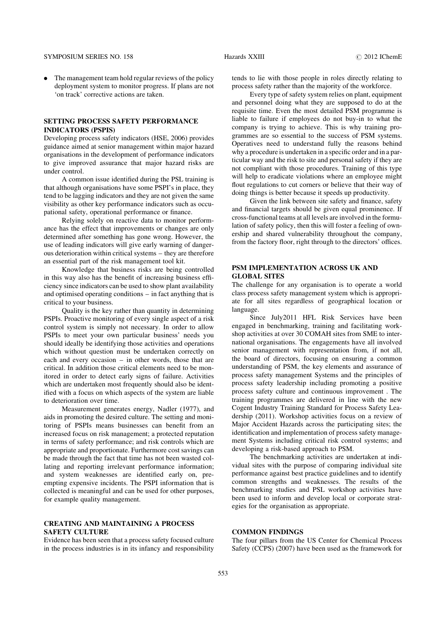### SYMPOSIUM SERIES NO. 158 **Hazards XXIII 12012 IChemE 2012 IChemE**

• The management team hold regular reviews of the policy deployment system to monitor progress. If plans are not 'on track' corrective actions are taken.

## SETTING PROCESS SAFETY PERFORMANCE INDICATORS (PSPIS)

Developing process safety indicators (HSE, 2006) provides guidance aimed at senior management within major hazard organisations in the development of performance indicators to give improved assurance that major hazard risks are under control.

A common issue identified during the PSL training is that although organisations have some PSPI's in place, they tend to be lagging indicators and they are not given the same visibility as other key performance indicators such as occupational safety, operational performance or finance.

Relying solely on reactive data to monitor performance has the effect that improvements or changes are only determined after something has gone wrong. However, the use of leading indicators will give early warning of dangerous deterioration within critical systems – they are therefore an essential part of the risk management tool kit.

Knowledge that business risks are being controlled in this way also has the benefit of increasing business efficiency since indicators can be used to show plant availability and optimised operating conditions – in fact anything that is critical to your business.

Quality is the key rather than quantity in determining PSPIs. Proactive monitoring of every single aspect of a risk control system is simply not necessary. In order to allow PSPIs to meet your own particular business' needs you should ideally be identifying those activities and operations which without question must be undertaken correctly on each and every occasion – in other words, those that are critical. In addition those critical elements need to be monitored in order to detect early signs of failure. Activities which are undertaken most frequently should also be identified with a focus on which aspects of the system are liable to deterioration over time.

Measurement generates energy, Nadler (1977), and aids in promoting the desired culture. The setting and monitoring of PSPIs means businesses can benefit from an increased focus on risk management; a protected reputation in terms of safety performance; and risk controls which are appropriate and proportionate. Furthermore cost savings can be made through the fact that time has not been wasted collating and reporting irrelevant performance information; and system weaknesses are identified early on, preempting expensive incidents. The PSPI information that is collected is meaningful and can be used for other purposes, for example quality management.

# CREATING AND MAINTAINING A PROCESS SAFETY CULTURE

Evidence has been seen that a process safety focused culture in the process industries is in its infancy and responsibility tends to lie with those people in roles directly relating to process safety rather than the majority of the workforce.

Every type of safety system relies on plant, equipment and personnel doing what they are supposed to do at the requisite time. Even the most detailed PSM programme is liable to failure if employees do not buy-in to what the company is trying to achieve. This is why training programmes are so essential to the success of PSM systems. Operatives need to understand fully the reasons behind why a procedure is undertaken in a specific order and in a particular way and the risk to site and personal safety if they are not compliant with those procedures. Training of this type will help to eradicate violations where an employee might flout regulations to cut corners or believe that their way of doing things is better because it speeds up productivity.

Given the link between site safety and finance, safety and financial targets should be given equal prominence. If cross-functional teams at all levels are involved in the formulation of safety policy, then this will foster a feeling of ownership and shared vulnerability throughout the company, from the factory floor, right through to the directors' offices.

# PSM IMPLEMENTATION ACROSS UK AND GLOBAL SITES

The challenge for any organisation is to operate a world class process safety management system which is appropriate for all sites regardless of geographical location or language.

Since July2011 HFL Risk Services have been engaged in benchmarking, training and facilitating workshop activities at over 30 COMAH sites from SME to international organisations. The engagements have all involved senior management with representation from, if not all, the board of directors, focusing on ensuring a common understanding of PSM, the key elements and assurance of process safety management Systems and the principles of process safety leadership including promoting a positive process safety culture and continuous improvement . The training programmes are delivered in line with the new Cogent Industry Training Standard for Process Safety Leadership (2011). Workshop activities focus on a review of Major Accident Hazards across the participating sites; the identification and implementation of process safety management Systems including critical risk control systems; and developing a risk-based approach to PSM.

The benchmarking activities are undertaken at individual sites with the purpose of comparing individual site performance against best practice guidelines and to identify common strengths and weaknesses. The results of the benchmarking studies and PSL workshop activities have been used to inform and develop local or corporate strategies for the organisation as appropriate.

# COMMON FINDINGS

The four pillars from the US Center for Chemical Process Safety (CCPS) (2007) have been used as the framework for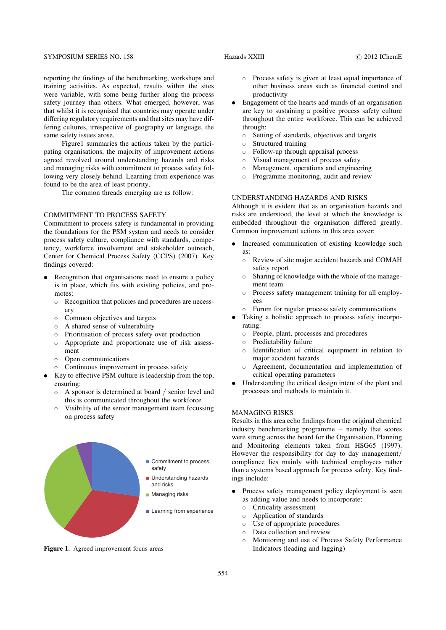reporting the findings of the benchmarking, workshops and training activities. As expected, results within the sites were variable, with some being further along the process safety journey than others. What emerged, however, was that whilst it is recognised that countries may operate under differing regulatory requirements and that sites may have differing cultures, irrespective of geography or language, the same safety issues arose.

Figure1 summaries the actions taken by the participating organisations, the majority of improvement actions agreed revolved around understanding hazards and risks and managing risks with commitment to process safety following very closely behind. Learning from experience was found to be the area of least priority.

The common threads emerging are as follow:

## COMMITMENT TO PROCESS SAFETY

Commitment to process safety is fundamental in providing the foundations for the PSM system and needs to consider process safety culture, compliance with standards, competency, workforce involvement and stakeholder outreach, Center for Chemical Process Safety (CCPS) (2007). Key findings covered:

- . Recognition that organisations need to ensure a policy is in place, which fits with existing policies, and promotes:
	- o Recognition that policies and procedures are necessary
	- o Common objectives and targets
	- $\circ$  A shared sense of vulnerability
	- $\circ$  Prioritisation of process safety over production
	- $\circ$  Appropriate and proportionate use of risk assessment
	- $\circ$  Open communications
	- $\circ$  Continuous improvement in process safety
- . Key to effective PSM culture is leadership from the top, ensuring:
	- $\circ$  A sponsor is determined at board / senior level and this is communicated throughout the workforce
	- $\circ$  Visibility of the senior management team focussing on process safety



Figure 1. Agreed improvement focus areas

- $\circ$  Process safety is given at least equal importance of other business areas such as financial control and productivity
- . Engagement of the hearts and minds of an organisation are key to sustaining a positive process safety culture throughout the entire workforce. This can be achieved through:
	- $\circ$  Setting of standards, objectives and targets
	- $\circ$  Structured training
	- $\circ$  Follow-up through appraisal process
	- $\circ$  Visual management of process safety
	- $\circ$  Management, operations and engineering
	- $\circ$  Programme monitoring, audit and review

#### UNDERSTANDING HAZARDS AND RISKS

Although it is evident that as an organisation hazards and risks are understood, the level at which the knowledge is embedded throughout the organisation differed greatly. Common improvement actions in this area cover:

- . Increased communication of existing knowledge such as:
	- o Review of site major accident hazards and COMAH safety report
	- $\circ$  Sharing of knowledge with the whole of the management team
	- $\circ$  Process safety management training for all employees
	- $\circ$  Forum for regular process safety communications
- . Taking a holistic approach to process safety incorporating:
	- $\circ$  People, plant, processes and procedures
	- $\circ$  Predictability failure
	- $\circ$  Identification of critical equipment in relation to major accident hazards
	- o Agreement, documentation and implementation of critical operating parameters
- . Understanding the critical design intent of the plant and processes and methods to maintain it.

# MANAGING RISKS

Results in this area echo findings from the original chemical industry benchmarking programme – namely that scores were strong across the board for the Organisation, Planning and Monitoring elements taken from HSG65 (1997). However the responsibility for day to day management/ compliance lies mainly with technical employees rather than a systems based approach for process safety. Key findings include:

- . Process safety management policy deployment is seen as adding value and needs to incorporate:
	- $\circ$  Criticality assessment
	- $\circ$  Application of standards
	- $\circ$  Use of appropriate procedures
	- $\circ$  Data collection and review
	- o Monitoring and use of Process Safety Performance Indicators (leading and lagging)